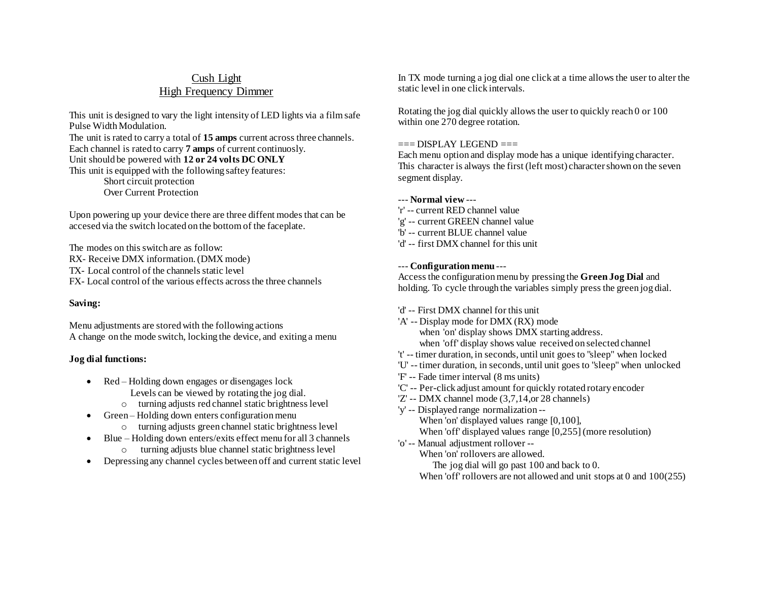# Cush Light High Frequency Dimmer

This unit is designed to vary the light intensity of LED lights via a film safe Pulse Width Modulation. The unit is rated to carry a total of **15 amps** current across three channels. Each channel is rated to carry **7 amps** of current continuosly. Unit should be powered with **12 or 24 volts DC ONLY** This unit is equipped with the following saftey features: Short circuit protection Over Current Protection

Upon powering up your device there are three diffent modes that can be accesed via the switch located on the bottom of the faceplate.

The modes on this switch are as follow: RX- Receive DMX information. (DMX mode) TX- Local control of the channels static level FX- Local control of the various effects across the three channels

## **Saving:**

Menu adjustments are stored with the following actions A change on the mode switch, locking the device, and exiting a menu

## **Jog dial functions:**

- Red Holding down engages or disengages lock Levels can be viewed by rotating the jog dial.
	- o turning adjusts red channel static brightness level
- Green Holding down enters configuration menu o turning adjusts green channel static brightness level
- Blue Holding down enters/exits effect menu for all 3 channels
- o turning adjusts blue channel static brightness level Depressing any channel cycles between off and current static level

In TX mode turning a jog dial one click at a time allows the user to alter the static level in one click intervals.

Rotating the jog dial quickly allows the user to quickly reach 0 or 100 within one 270 degree rotation.

### $==$  $DISPLAY$  LEGEND  $==$

Each menu option and display mode has a unique identifying character. This character is always the first (left most) character shown on the seven segment display.

## --- **Normal view** ---

- 'r' -- current RED channel value
- 'g' -- current GREEN channel value
- 'b' -- current BLUE channel value
- 'd' -- first DMX channel for this unit

### --- **Configuration menu** ---

Access the configuration menu by pressing the **Green Jog Dial** and holding. To cycle through the variables simply press the green jog dial.

- 'd' -- First DMX channel for this unit
- 'A' -- Display mode for DMX (RX) mode when 'on' display shows DMX starting address. when 'off' display shows value received on selected channel
- 't' -- timer duration, in seconds, until unit goes to "sleep" when locked
- 'U' -- timer duration, in seconds, until unit goes to "sleep" when unlocked
- 'F' -- Fade timer interval (8 ms units)
- 'C' -- Per-click adjust amount for quickly rotated rotary encoder
- 'Z' -- DMX channel mode (3,7,14,or 28 channels)
- 'y' -- Displayed range normalization -- When 'on' displayed values range [0,100], When 'off' displayed values range [0,255](more resolution)
- 'o' -- Manual adjustment rollover --

When 'on' rollovers are allowed.

The jog dial will go past 100 and back to 0.

When 'off' rollovers are not allowed and unit stops at 0 and  $100(255)$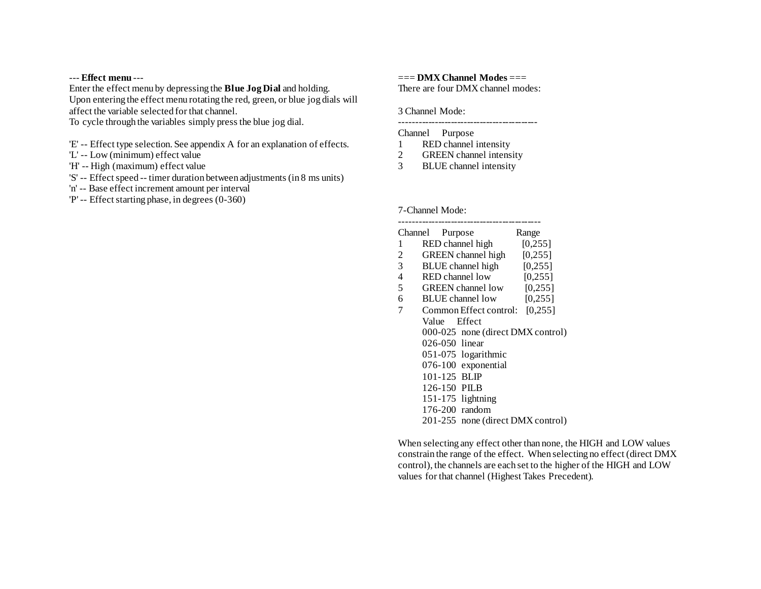#### --- **Effect menu** ---

Enter the effect menu by depressing the **Blue Jog Dial** and holding.

Upon entering the effect menu rotating the red, green, or blue jog dials will affect the variable selected for that channel.

To cycle through the variables simply press the blue jog dial.

- 'E' -- Effect type selection. See appendix A for an explanation of effects.
- 'L' -- Low (minimum) effect value
- 'H' -- High (maximum) effect value
- 'S' -- Effect speed -- timer duration between adjustments (in 8 ms units)
- 'n' -- Base effect increment amount per interval
- 'P' -- Effect starting phase, in degrees (0-360)

=== **DMX Channel Modes** === There are four DMX channel modes:

3 Channel Mode:

-------------------------------------------

## Channel Purpose

- 1 RED channel intensity
- 2 GREEN channel intensity
- 3 BLUE channel intensity

#### 7-Channel Mode:

## -------------------------------------------- Channel Purpose Range 1 RED channel high [0,255] 2 GREEN channel high [0,255] 3 BLUE channel high [0,255] 4 RED channel low [0,255] 5 GREEN channel low [0,255] 6 BLUE channel low [0,255] 7 Common Effect control: [0,255] Value Effect 000-025 none (direct DMX control) 026-050 linear 051-075 logarithmic 076-100 exponential 101-125 BLIP 126-150 PILB 151-175 lightning 176-200 random 201-255 none (direct DMX control)

When selecting any effect other than none, the HIGH and LOW values constrain the range of the effect. When selecting no effect (direct DMX control), the channels are each set to the higher of the HIGH and LOW values for that channel (Highest Takes Precedent).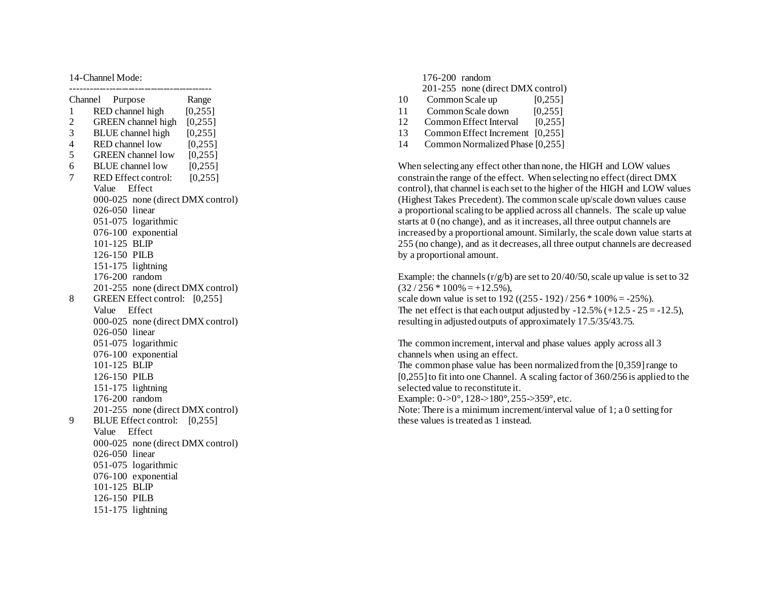### 14 -Channel Mode:

| Channel                 | Purpose                 |                               | Range    |
|-------------------------|-------------------------|-------------------------------|----------|
| $\mathbf{1}$            | RED channel high        |                               | [0, 255] |
| $\overline{\mathbf{c}}$ |                         | GREEN channel high            | [0, 255] |
| 3                       |                         | <b>BLUE</b> channel high      | [0, 255] |
| $\overline{4}$          | RED channel low         |                               | [0,255]  |
| 5                       |                         | <b>GREEN</b> channel low      | [0, 255] |
| 6                       | <b>BLUE</b> channel low |                               | [0,255]  |
| 7                       |                         | RED Effect control:           | [0, 255] |
|                         | Value                   | Effect                        |          |
|                         | 000-025                 | none (direct DMX control)     |          |
|                         | 026-050                 | linear                        |          |
|                         |                         | 051-075 logarithmic           |          |
|                         |                         | 076-100 exponential           |          |
|                         | $101 - 125$             | <b>BLIP</b>                   |          |
|                         | 126-150 PILB            |                               |          |
|                         | 151-175 lightning       |                               |          |
|                         | 176-200                 | random                        |          |
|                         | 201-255                 | none (direct DMX control)     |          |
| 8                       |                         | GREEN Effect control: [0,255] |          |
|                         | Value                   | Effect                        |          |
|                         | 000-025                 | none (direct DMX control)     |          |
|                         | 026-050                 | linear                        |          |
|                         | 051-075                 | logarithmic                   |          |
|                         | 076-100                 | exponential                   |          |
|                         | 101-125                 | <b>BLIP</b>                   |          |
|                         | 126-150 PILB            |                               |          |
|                         | 151-175                 | lightning                     |          |
|                         | 176-200                 | random                        |          |
|                         | 201-255                 | none (direct DMX control)     |          |
| 9                       |                         | <b>BLUE Effect control:</b>   | [0, 255] |
|                         | Value                   | Effect                        |          |
|                         | 000-025                 | none (direct DMX control)     |          |
|                         | 026-050 linear          |                               |          |
|                         | 051-075                 | logarithmic                   |          |
|                         | 076-100                 | exponential                   |          |
|                         | 101-125                 | <b>BLIP</b>                   |          |
|                         | 126-150                 | PILB                          |          |
|                         | 151-175                 | lightning                     |          |

|    | 176-200 random                     |  |
|----|------------------------------------|--|
|    | 201-255 none (direct DMX control)  |  |
| 10 | Common Scale up<br>[0, 255]        |  |
| 11 | [0, 255]<br>Common Scale down      |  |
| 12 | [0, 255]<br>Common Effect Interval |  |
| 13 | [0.255]<br>Common Effect Increment |  |
| 14 | Common Normalized Phase [0,255]    |  |

When selecting any effect other than none, the HIGH and LOW values constrain the range of the effect. When selecting no effect (direct DMX control), that channel is each set to the higher of the HIGH and LOW values (Highest Takes Precedent). The common scale up/scale down values cause a proportional scaling to be applied across all channels. The scale up value starts at 0 (no change), and as it increases, all three output channels are increased by a proportional amount. Similarly, the scale down value starts at 255 (no change), and as it decreases, all three output channels are decreased by a proportional amount.

Example: the channels  $(r/g/b)$  are set to 20/40/50, scale up value is set to 32  $(32/256 * 100\% = +12.5\%),$ scale down value is set to  $192 ((255 - 192) / 256 * 100\% = -25\%).$ The net effect is that each output adjusted by  $-12.5\%$  ( $+12.5 - 25 = -12.5$ ), resulting in adjusted outputs of approximately 17.5/35/43.75.

The common increment, interval and phase values apply across all 3 channels when using an effect. The common phase value has been normalized from the [0,359] range to [0,255] to fit into one Channel. A scaling factor of 360/256 is applied to the selected value to reconstitute it . Example:  $0-0^\circ$ ,  $128-180^\circ$ ,  $255-359^\circ$ , etc. Note: There is a minimum increment/interval valu e of 1; a 0 setting for these values is treated as 1 instead.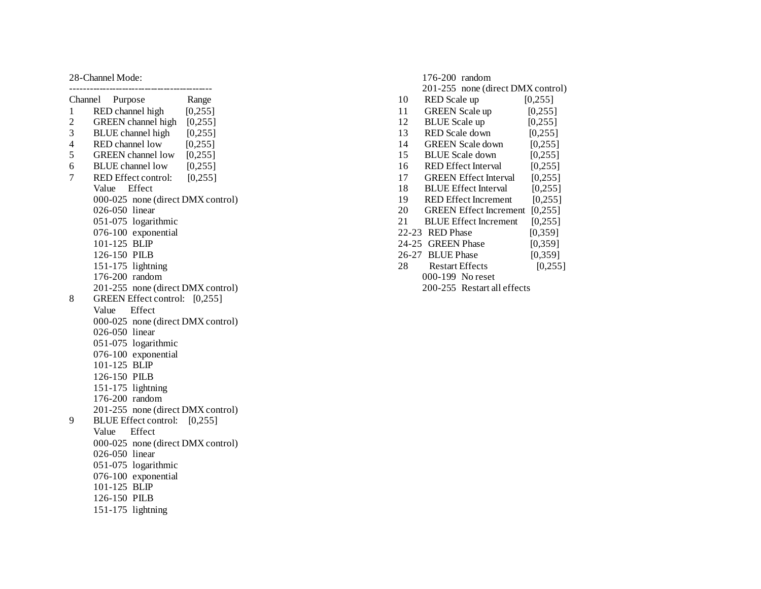### 28 -Channel Mode :

|                          | Channel Purpose<br>Range             |  |  |  |
|--------------------------|--------------------------------------|--|--|--|
| $\mathbf{1}$             | RED channel high [0,255]             |  |  |  |
| $\overline{c}$           | GREEN channel high [0,255]           |  |  |  |
| 3                        | BLUE channel high [0,255]            |  |  |  |
| $\overline{\mathcal{L}}$ | RED channel low<br>[0, 255]          |  |  |  |
| 5                        | GREEN channel low [0,255]            |  |  |  |
| 6                        | [0,255]<br><b>BLUE</b> channel low   |  |  |  |
| 7                        | RED Effect control:<br>[0, 255]      |  |  |  |
|                          | Value Effect                         |  |  |  |
|                          | 000-025 none (direct DMX control)    |  |  |  |
|                          | 026-050 linear                       |  |  |  |
|                          | 051-075 logarithmic                  |  |  |  |
|                          | 076-100 exponential                  |  |  |  |
|                          | 101-125 BLIP                         |  |  |  |
|                          | 126-150 PILB                         |  |  |  |
|                          | 151-175 lightning                    |  |  |  |
|                          | 176-200 random                       |  |  |  |
|                          | 201-255 none (direct DMX control)    |  |  |  |
| 8                        | GREEN Effect control: [0,255]        |  |  |  |
|                          | Effect<br>Value                      |  |  |  |
|                          | 000-025 none (direct DMX control)    |  |  |  |
|                          | 026-050 linear                       |  |  |  |
|                          | 051-075 logarithmic                  |  |  |  |
|                          | 076-100 exponential                  |  |  |  |
|                          | 101-125 BLIP                         |  |  |  |
|                          | 126-150 PILB                         |  |  |  |
|                          | 151-175 lightning                    |  |  |  |
|                          | 176-200 random                       |  |  |  |
|                          | 201-255<br>none (direct DMX control) |  |  |  |
| 9                        | BLUE Effect control: [0,255]         |  |  |  |
|                          | Effect<br>Value                      |  |  |  |
|                          | 000-025 none (direct DMX control)    |  |  |  |
|                          | 026-050 linear                       |  |  |  |
|                          | 051-075 logarithmic                  |  |  |  |
|                          | 076-100 exponential                  |  |  |  |
|                          | 101-125 BLIP                         |  |  |  |
|                          | 126-150 PILB                         |  |  |  |
|                          | 151-175 lightning                    |  |  |  |
|                          |                                      |  |  |  |

|                             | 176-200 random                    |          |  |  |
|-----------------------------|-----------------------------------|----------|--|--|
|                             | 201-255 none (direct DMX control) |          |  |  |
| 10                          | RED Scale up                      | [0.255]  |  |  |
| 11                          | <b>GREEN</b> Scale up             | [0,255]  |  |  |
| 12                          | <b>BLUE</b> Scale up              | [0, 255] |  |  |
| 13                          | RED Scale down                    | [0,255]  |  |  |
| 14                          | <b>GREEN</b> Scale down           | [0.255]  |  |  |
| 15                          | <b>BLUE</b> Scale down            | [0,255]  |  |  |
| 16                          | <b>RED</b> Effect Interval        | [0.255]  |  |  |
| 17                          | <b>GREEN</b> Effect Interval      | [0,255]  |  |  |
| 18                          | <b>BLUE Effect Interval</b>       | [0.255]  |  |  |
| 19                          | <b>RED Effect Increment</b>       | [0,255]  |  |  |
| 20                          | <b>GREEN</b> Effect Increment     | [0.255]  |  |  |
| 21                          | <b>BLUE Effect Increment</b>      | [0,255]  |  |  |
|                             | 22-23 RED Phase                   | [0,359]  |  |  |
| $24 - 25$                   | <b>GREEN</b> Phase                | [0.359]  |  |  |
|                             | 26-27 BLUE Phase                  | [0,359]  |  |  |
| 28                          | <b>Restart Effects</b>            | [0,255]  |  |  |
|                             | 000-199 No reset                  |          |  |  |
| 200-255 Restart all effects |                                   |          |  |  |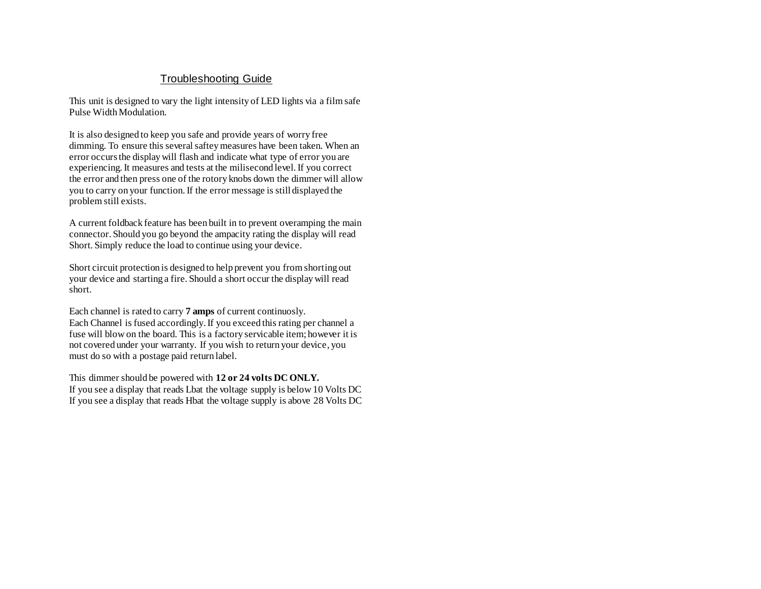## Troubleshooting Guide

This unit is designed to vary the light intensity of LED lights via a film safe Pulse Width Modulation.

It is also designed to keep you safe and provide years of worry free dimming. To ensure this several saftey measures have been taken. When an error occurs the display will flash and indicate what type of error you are experiencing. It measures and tests at the milisecond level. If you correct the error and then press one of the rotory knobs down the dimmer will allow you to carry on your function. If the error message is still displayed the problem still exists.

A current foldback feature has been built in to prevent overamping the main connector. Should you go beyond the ampacity rating the display will read Short. Simply reduce the load to continue using your device.

Short circuit protection is designed to help prevent you from shorting out your device and starting a fire. Should a short occur the display will read short.

Each channel is rated to carry **7 amps** of current continuosly. Each Channel is fused accordingly. If you exceed this rating per channel a fuse will blow on the board. This is a factory servicable item; however it is not covered under your warranty. If you wish to return your device, you must do so with a postage paid return label.

This dimmer should be powered with **12 or 24 volts DC ONLY.** If you see a display that reads Lbat the voltage supply is below 10 Volts DC If you see a display that reads Hbat the voltage supply is above 28 Volts DC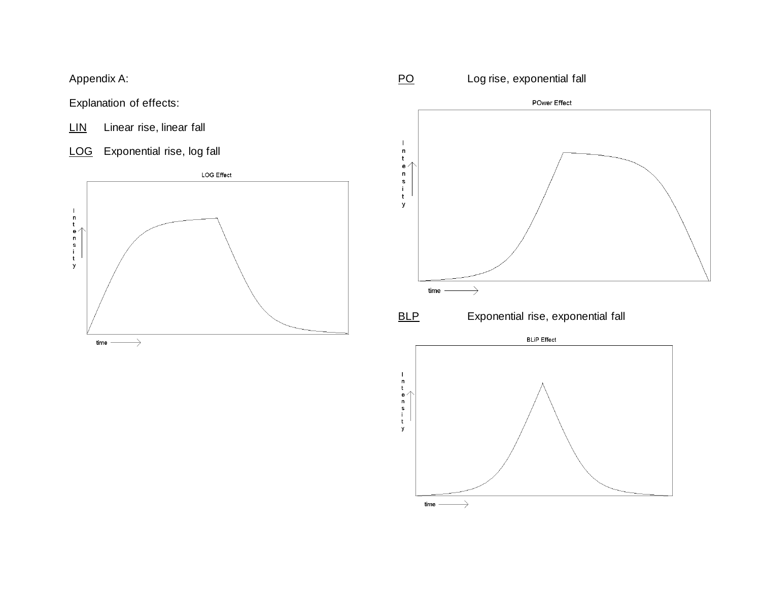Appendix A:

Explanation of effects:

LIN Linear rise, linear fall

LOG Exponential rise, log fall



PO Log rise, exponential fall